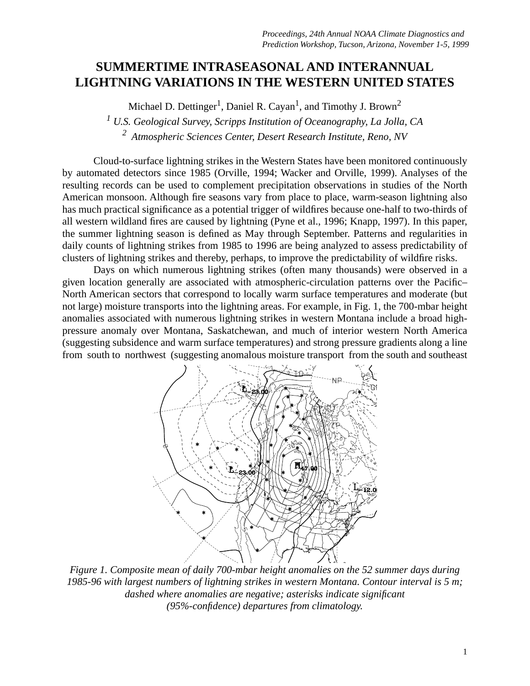## **SUMMERTIME INTRASEASONAL AND INTERANNUAL LIGHTNING VARIATIONS IN THE WESTERN UNITED STATES**

Michael D. Dettinger<sup>1</sup>, Daniel R. Cayan<sup>1</sup>, and Timothy J. Brown<sup>2</sup>

*1 U.S. Geological Survey, Scripps Institution of Oceanography, La Jolla, CA 2 Atmospheric Sciences Center, Desert Research Institute, Reno, NV*

Cloud-to-surface lightning strikes in the Western States have been monitored continuously by automated detectors since 1985 (Orville, 1994; Wacker and Orville, 1999). Analyses of the resulting records can be used to complement precipitation observations in studies of the North American monsoon. Although fire seasons vary from place to place, warm-season lightning also has much practical significance as a potential trigger of wildfires because one-half to two-thirds of all western wildland fires are caused by lightning (Pyne et al., 1996; Knapp, 1997). In this paper, the summer lightning season is defined as May through September. Patterns and regularities in daily counts of lightning strikes from 1985 to 1996 are being analyzed to assess predictability of clusters of lightning strikes and thereby, perhaps, to improve the predictability of wildfire risks.

Days on which numerous lightning strikes (often many thousands) were observed in a given location generally are associated with atmospheric-circulation patterns over the Pacific– North American sectors that correspond to locally warm surface temperatures and moderate (but not large) moisture transports into the lightning areas. For example, in Fig. 1, the 700-mbar height anomalies associated with numerous lightning strikes in western Montana include a broad highpressure anomaly over Montana, Saskatchewan, and much of interior western North America (suggesting subsidence and warm surface temperatures) and strong pressure gradients along a line from south to northwest (suggesting anomalous moisture transport from the south and southeast



*Figure 1. Composite mean of daily 700-mbar height anomalies on the 52 summer days during 1985-96 with largest numbers of lightning strikes in western Montana. Contour interval is 5 m; dashed where anomalies are negative; asterisks indicate significant (95%-confidence) departures from climatology.*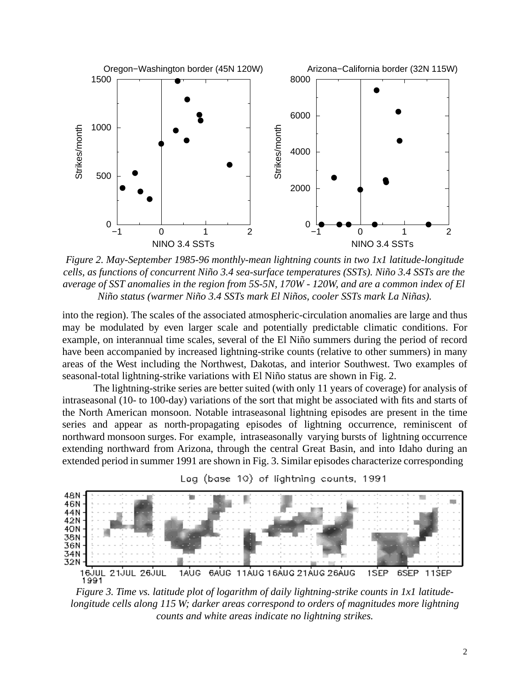

*Figure 2. May-September 1985-96 monthly-mean lightning counts in two 1x1 latitude-longitude cells, as functions of concurrent Niño 3.4 sea-surface temperatures (SSTs). Niño 3.4 SSTs are the average of SST anomalies in the region from 5S-5N, 170W - 120W, and are a common index of El Niño status (warmer Niño 3.4 SSTs mark El Niños, cooler SSTs mark La Niñas).*

into the region). The scales of the associated atmospheric-circulation anomalies are large and thus may be modulated by even larger scale and potentially predictable climatic conditions. For example, on interannual time scales, several of the El Niño summers during the period of record have been accompanied by increased lightning-strike counts (relative to other summers) in many areas of the West including the Northwest, Dakotas, and interior Southwest. Two examples of seasonal-total lightning-strike variations with El Niño status are shown in Fig. 2.

The lightning-strike series are better suited (with only 11 years of coverage) for analysis of intraseasonal (10- to 100-day) variations of the sort that might be associated with fits and starts of the North American monsoon. Notable intraseasonal lightning episodes are present in the time series and appear as north-propagating episodes of lightning occurrence, reminiscent of northward monsoon surges. For example, intraseasonally varying bursts of lightning occurrence extending northward from Arizona, through the central Great Basin, and into Idaho during an extended period in summer 1991 are shown in Fig. 3. Similar episodes characterize corresponding





*Figure 3. Time vs. latitude plot of logarithm of daily lightning-strike counts in 1x1 latitudelongitude cells along 115 W; darker areas correspond to orders of magnitudes more lightning counts and white areas indicate no lightning strikes.*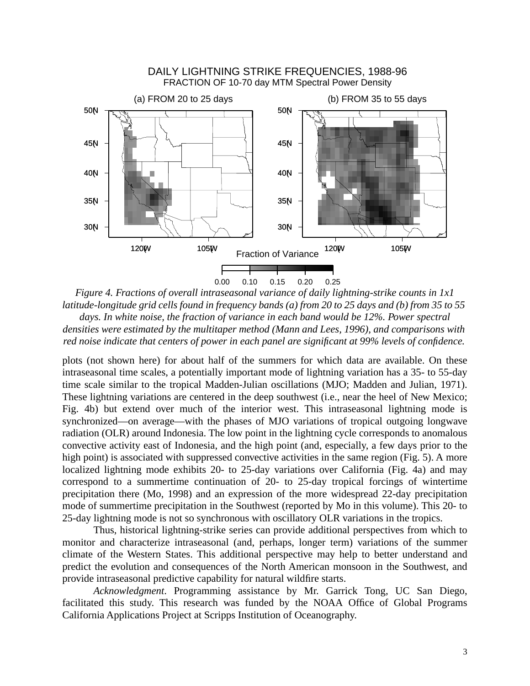

*Figure 4. Fractions of overall intraseasonal variance of daily lightning-strike counts in 1x1 latitude-longitude grid cells found in frequency bands (a) from 20 to 25 days and (b) from 35 to 55 days. In white noise, the fraction of variance in each band would be 12%. Power spectral densities were estimated by the multitaper method (Mann and Lees, 1996), and comparisons with red noise indicate that centers of power in each panel are significant at 99% levels of confidence.* 

plots (not shown here) for about half of the summers for which data are available. On these intraseasonal time scales, a potentially important mode of lightning variation has a 35- to 55-day time scale similar to the tropical Madden-Julian oscillations (MJO; Madden and Julian, 1971). These lightning variations are centered in the deep southwest (i.e., near the heel of New Mexico; Fig. 4b) but extend over much of the interior west. This intraseasonal lightning mode is synchronized—on average—with the phases of MJO variations of tropical outgoing longwave radiation (OLR) around Indonesia. The low point in the lightning cycle corresponds to anomalous convective activity east of Indonesia, and the high point (and, especially, a few days prior to the high point) is associated with suppressed convective activities in the same region (Fig. 5). A more localized lightning mode exhibits 20- to 25-day variations over California (Fig. 4a) and may correspond to a summertime continuation of 20- to 25-day tropical forcings of wintertime precipitation there (Mo, 1998) and an expression of the more widespread 22-day precipitation mode of summertime precipitation in the Southwest (reported by Mo in this volume). This 20- to 25-day lightning mode is not so synchronous with oscillatory OLR variations in the tropics.

Thus, historical lightning-strike series can provide additional perspectives from which to monitor and characterize intraseasonal (and, perhaps, longer term) variations of the summer climate of the Western States. This additional perspective may help to better understand and predict the evolution and consequences of the North American monsoon in the Southwest, and provide intraseasonal predictive capability for natural wildfire starts.

*Acknowledgment*. Programming assistance by Mr. Garrick Tong, UC San Diego, facilitated this study. This research was funded by the NOAA Office of Global Programs California Applications Project at Scripps Institution of Oceanography.